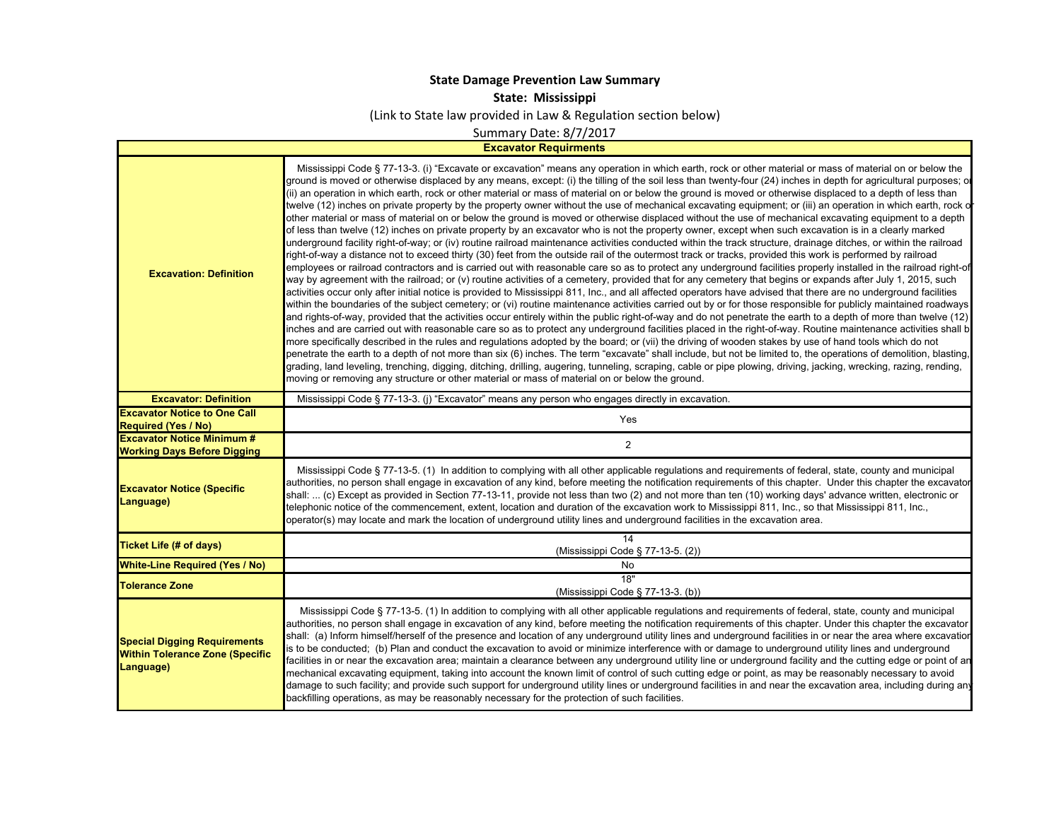## **State Damage Prevention Law Summary**

**State: Mississippi**

(Link to State law provided in Law & Regulation section below)

Summary Date: 8/7/2017

**Excavator Requirments**

| <b>Excavation: Definition</b><br><b>Excavator: Definition</b>                              | Mississippi Code § 77-13-3. (i) "Excavate or excavation" means any operation in which earth, rock or other material or mass of material on or below the<br>ground is moved or otherwise displaced by any means, except: (i) the tilling of the soil less than twenty-four (24) inches in depth for agricultural purposes; or<br>(ii) an operation in which earth, rock or other material or mass of material on or below the ground is moved or otherwise displaced to a depth of less than<br>twelve (12) inches on private property by the property owner without the use of mechanical excavating equipment; or (iii) an operation in which earth, rock o<br>other material or mass of material on or below the ground is moved or otherwise displaced without the use of mechanical excavating equipment to a depth<br>of less than twelve (12) inches on private property by an excavator who is not the property owner, except when such excavation is in a clearly marked<br>underground facility right-of-way; or (iv) routine railroad maintenance activities conducted within the track structure, drainage ditches, or within the railroad<br>right-of-way a distance not to exceed thirty (30) feet from the outside rail of the outermost track or tracks, provided this work is performed by railroad<br>employees or railroad contractors and is carried out with reasonable care so as to protect any underground facilities properly installed in the railroad right-of<br>way by agreement with the railroad; or (v) routine activities of a cemetery, provided that for any cemetery that begins or expands after July 1, 2015, such<br>activities occur only after initial notice is provided to Mississippi 811, Inc., and all affected operators have advised that there are no underground facilities<br>within the boundaries of the subject cemetery; or (vi) routine maintenance activities carried out by or for those responsible for publicly maintained roadways<br>and rights-of-way, provided that the activities occur entirely within the public right-of-way and do not penetrate the earth to a depth of more than twelve (12)<br>inches and are carried out with reasonable care so as to protect any underground facilities placed in the right-of-way. Routine maintenance activities shall b<br>more specifically described in the rules and regulations adopted by the board; or (vii) the driving of wooden stakes by use of hand tools which do not<br>penetrate the earth to a depth of not more than six (6) inches. The term "excavate" shall include, but not be limited to, the operations of demolition, blasting,<br>grading, land leveling, trenching, digging, ditching, drilling, augering, tunneling, scraping, cable or pipe plowing, driving, jacking, wrecking, razing, rending,<br>moving or removing any structure or other material or mass of material on or below the ground. |
|--------------------------------------------------------------------------------------------|---------------------------------------------------------------------------------------------------------------------------------------------------------------------------------------------------------------------------------------------------------------------------------------------------------------------------------------------------------------------------------------------------------------------------------------------------------------------------------------------------------------------------------------------------------------------------------------------------------------------------------------------------------------------------------------------------------------------------------------------------------------------------------------------------------------------------------------------------------------------------------------------------------------------------------------------------------------------------------------------------------------------------------------------------------------------------------------------------------------------------------------------------------------------------------------------------------------------------------------------------------------------------------------------------------------------------------------------------------------------------------------------------------------------------------------------------------------------------------------------------------------------------------------------------------------------------------------------------------------------------------------------------------------------------------------------------------------------------------------------------------------------------------------------------------------------------------------------------------------------------------------------------------------------------------------------------------------------------------------------------------------------------------------------------------------------------------------------------------------------------------------------------------------------------------------------------------------------------------------------------------------------------------------------------------------------------------------------------------------------------------------------------------------------------------------------------------------------------------------------------------------------------------------------------------------------------------------------------------------------------------------------------------------------------------------------------------------------------------------------------------------------------------------------------------------------------------------------------------------------------------------------------------------------------------------------|
|                                                                                            | Mississippi Code § 77-13-3. (j) "Excavator" means any person who engages directly in excavation.                                                                                                                                                                                                                                                                                                                                                                                                                                                                                                                                                                                                                                                                                                                                                                                                                                                                                                                                                                                                                                                                                                                                                                                                                                                                                                                                                                                                                                                                                                                                                                                                                                                                                                                                                                                                                                                                                                                                                                                                                                                                                                                                                                                                                                                                                                                                                                                                                                                                                                                                                                                                                                                                                                                                                                                                                                            |
| <b>Excavator Notice to One Call</b><br><b>Required (Yes / No)</b>                          | Yes                                                                                                                                                                                                                                                                                                                                                                                                                                                                                                                                                                                                                                                                                                                                                                                                                                                                                                                                                                                                                                                                                                                                                                                                                                                                                                                                                                                                                                                                                                                                                                                                                                                                                                                                                                                                                                                                                                                                                                                                                                                                                                                                                                                                                                                                                                                                                                                                                                                                                                                                                                                                                                                                                                                                                                                                                                                                                                                                         |
| <b>Excavator Notice Minimum #</b>                                                          | $\overline{2}$                                                                                                                                                                                                                                                                                                                                                                                                                                                                                                                                                                                                                                                                                                                                                                                                                                                                                                                                                                                                                                                                                                                                                                                                                                                                                                                                                                                                                                                                                                                                                                                                                                                                                                                                                                                                                                                                                                                                                                                                                                                                                                                                                                                                                                                                                                                                                                                                                                                                                                                                                                                                                                                                                                                                                                                                                                                                                                                              |
| <b>Working Days Before Digging</b>                                                         |                                                                                                                                                                                                                                                                                                                                                                                                                                                                                                                                                                                                                                                                                                                                                                                                                                                                                                                                                                                                                                                                                                                                                                                                                                                                                                                                                                                                                                                                                                                                                                                                                                                                                                                                                                                                                                                                                                                                                                                                                                                                                                                                                                                                                                                                                                                                                                                                                                                                                                                                                                                                                                                                                                                                                                                                                                                                                                                                             |
| <b>Excavator Notice (Specific</b><br>Language)                                             | Mississippi Code § 77-13-5. (1) In addition to complying with all other applicable regulations and requirements of federal, state, county and municipal<br>authorities, no person shall engage in excavation of any kind, before meeting the notification requirements of this chapter. Under this chapter the excavator<br>shall:  (c) Except as provided in Section 77-13-11, provide not less than two (2) and not more than ten (10) working days' advance written, electronic or<br>telephonic notice of the commencement, extent, location and duration of the excavation work to Mississippi 811, Inc., so that Mississippi 811, Inc.,<br>operator(s) may locate and mark the location of underground utility lines and underground facilities in the excavation area.                                                                                                                                                                                                                                                                                                                                                                                                                                                                                                                                                                                                                                                                                                                                                                                                                                                                                                                                                                                                                                                                                                                                                                                                                                                                                                                                                                                                                                                                                                                                                                                                                                                                                                                                                                                                                                                                                                                                                                                                                                                                                                                                                               |
| <b>Ticket Life (# of days)</b>                                                             | 14<br>(Mississippi Code § 77-13-5. (2))                                                                                                                                                                                                                                                                                                                                                                                                                                                                                                                                                                                                                                                                                                                                                                                                                                                                                                                                                                                                                                                                                                                                                                                                                                                                                                                                                                                                                                                                                                                                                                                                                                                                                                                                                                                                                                                                                                                                                                                                                                                                                                                                                                                                                                                                                                                                                                                                                                                                                                                                                                                                                                                                                                                                                                                                                                                                                                     |
| <b>White-Line Required (Yes / No)</b>                                                      | No                                                                                                                                                                                                                                                                                                                                                                                                                                                                                                                                                                                                                                                                                                                                                                                                                                                                                                                                                                                                                                                                                                                                                                                                                                                                                                                                                                                                                                                                                                                                                                                                                                                                                                                                                                                                                                                                                                                                                                                                                                                                                                                                                                                                                                                                                                                                                                                                                                                                                                                                                                                                                                                                                                                                                                                                                                                                                                                                          |
| <b>Tolerance Zone</b>                                                                      | 18"<br>(Mississippi Code § 77-13-3. (b))                                                                                                                                                                                                                                                                                                                                                                                                                                                                                                                                                                                                                                                                                                                                                                                                                                                                                                                                                                                                                                                                                                                                                                                                                                                                                                                                                                                                                                                                                                                                                                                                                                                                                                                                                                                                                                                                                                                                                                                                                                                                                                                                                                                                                                                                                                                                                                                                                                                                                                                                                                                                                                                                                                                                                                                                                                                                                                    |
| <b>Special Digging Requirements</b><br><b>Within Tolerance Zone (Specific</b><br>Language) | Mississippi Code § 77-13-5. (1) In addition to complying with all other applicable regulations and requirements of federal, state, county and municipal<br>authorities, no person shall engage in excavation of any kind, before meeting the notification requirements of this chapter. Under this chapter the excavator<br>shall: (a) Inform himself/herself of the presence and location of any underground utility lines and underground facilities in or near the area where excavatior<br>is to be conducted; (b) Plan and conduct the excavation to avoid or minimize interference with or damage to underground utility lines and underground<br>facilities in or near the excavation area; maintain a clearance between any underground utility line or underground facility and the cutting edge or point of an<br>mechanical excavating equipment, taking into account the known limit of control of such cutting edge or point, as may be reasonably necessary to avoid<br>damage to such facility; and provide such support for underground utility lines or underground facilities in and near the excavation area, including during any<br>backfilling operations, as may be reasonably necessary for the protection of such facilities.                                                                                                                                                                                                                                                                                                                                                                                                                                                                                                                                                                                                                                                                                                                                                                                                                                                                                                                                                                                                                                                                                                                                                                                                                                                                                                                                                                                                                                                                                                                                                                                                                                                                                      |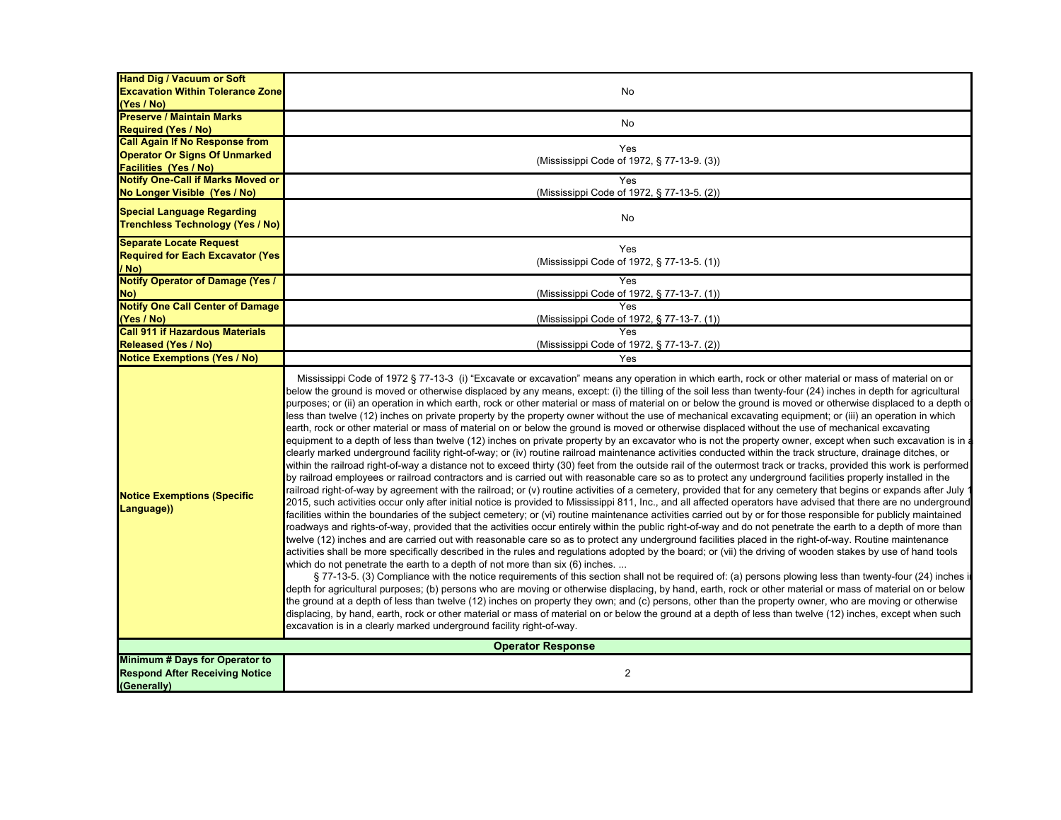| <b>Hand Dig / Vacuum or Soft</b>                     |                                                                                                                                                                                                                                                                                                                                                                                                                                                                                                                                                                                                                                                                                                                                                                                                                                                                                                                                                                                                                                                                                                                                                                                                                                                                                                                                                                                                                                                                                                                                                                                                                                                                                                                                                                                                                                                                                                                                                                                                                                                                                                                                                                                                                                                                                                                                                                                                                                                                                                                                                                                                                                                                                                                                                                                                                                                                                                                                                                                                                                                                                                                                                                                                                                                                                                    |  |
|------------------------------------------------------|----------------------------------------------------------------------------------------------------------------------------------------------------------------------------------------------------------------------------------------------------------------------------------------------------------------------------------------------------------------------------------------------------------------------------------------------------------------------------------------------------------------------------------------------------------------------------------------------------------------------------------------------------------------------------------------------------------------------------------------------------------------------------------------------------------------------------------------------------------------------------------------------------------------------------------------------------------------------------------------------------------------------------------------------------------------------------------------------------------------------------------------------------------------------------------------------------------------------------------------------------------------------------------------------------------------------------------------------------------------------------------------------------------------------------------------------------------------------------------------------------------------------------------------------------------------------------------------------------------------------------------------------------------------------------------------------------------------------------------------------------------------------------------------------------------------------------------------------------------------------------------------------------------------------------------------------------------------------------------------------------------------------------------------------------------------------------------------------------------------------------------------------------------------------------------------------------------------------------------------------------------------------------------------------------------------------------------------------------------------------------------------------------------------------------------------------------------------------------------------------------------------------------------------------------------------------------------------------------------------------------------------------------------------------------------------------------------------------------------------------------------------------------------------------------------------------------------------------------------------------------------------------------------------------------------------------------------------------------------------------------------------------------------------------------------------------------------------------------------------------------------------------------------------------------------------------------------------------------------------------------------------------------------------------------|--|
| <b>Excavation Within Tolerance Zone</b>              | No                                                                                                                                                                                                                                                                                                                                                                                                                                                                                                                                                                                                                                                                                                                                                                                                                                                                                                                                                                                                                                                                                                                                                                                                                                                                                                                                                                                                                                                                                                                                                                                                                                                                                                                                                                                                                                                                                                                                                                                                                                                                                                                                                                                                                                                                                                                                                                                                                                                                                                                                                                                                                                                                                                                                                                                                                                                                                                                                                                                                                                                                                                                                                                                                                                                                                                 |  |
| (Yes / No)                                           |                                                                                                                                                                                                                                                                                                                                                                                                                                                                                                                                                                                                                                                                                                                                                                                                                                                                                                                                                                                                                                                                                                                                                                                                                                                                                                                                                                                                                                                                                                                                                                                                                                                                                                                                                                                                                                                                                                                                                                                                                                                                                                                                                                                                                                                                                                                                                                                                                                                                                                                                                                                                                                                                                                                                                                                                                                                                                                                                                                                                                                                                                                                                                                                                                                                                                                    |  |
| <b>Preserve / Maintain Marks</b>                     |                                                                                                                                                                                                                                                                                                                                                                                                                                                                                                                                                                                                                                                                                                                                                                                                                                                                                                                                                                                                                                                                                                                                                                                                                                                                                                                                                                                                                                                                                                                                                                                                                                                                                                                                                                                                                                                                                                                                                                                                                                                                                                                                                                                                                                                                                                                                                                                                                                                                                                                                                                                                                                                                                                                                                                                                                                                                                                                                                                                                                                                                                                                                                                                                                                                                                                    |  |
| <b>Required (Yes / No)</b>                           | No                                                                                                                                                                                                                                                                                                                                                                                                                                                                                                                                                                                                                                                                                                                                                                                                                                                                                                                                                                                                                                                                                                                                                                                                                                                                                                                                                                                                                                                                                                                                                                                                                                                                                                                                                                                                                                                                                                                                                                                                                                                                                                                                                                                                                                                                                                                                                                                                                                                                                                                                                                                                                                                                                                                                                                                                                                                                                                                                                                                                                                                                                                                                                                                                                                                                                                 |  |
| <b>Call Again If No Response from</b>                |                                                                                                                                                                                                                                                                                                                                                                                                                                                                                                                                                                                                                                                                                                                                                                                                                                                                                                                                                                                                                                                                                                                                                                                                                                                                                                                                                                                                                                                                                                                                                                                                                                                                                                                                                                                                                                                                                                                                                                                                                                                                                                                                                                                                                                                                                                                                                                                                                                                                                                                                                                                                                                                                                                                                                                                                                                                                                                                                                                                                                                                                                                                                                                                                                                                                                                    |  |
| <b>Operator Or Signs Of Unmarked</b>                 | Yes                                                                                                                                                                                                                                                                                                                                                                                                                                                                                                                                                                                                                                                                                                                                                                                                                                                                                                                                                                                                                                                                                                                                                                                                                                                                                                                                                                                                                                                                                                                                                                                                                                                                                                                                                                                                                                                                                                                                                                                                                                                                                                                                                                                                                                                                                                                                                                                                                                                                                                                                                                                                                                                                                                                                                                                                                                                                                                                                                                                                                                                                                                                                                                                                                                                                                                |  |
| <b>Facilities (Yes / No)</b>                         | (Mississippi Code of 1972, § 77-13-9. (3))                                                                                                                                                                                                                                                                                                                                                                                                                                                                                                                                                                                                                                                                                                                                                                                                                                                                                                                                                                                                                                                                                                                                                                                                                                                                                                                                                                                                                                                                                                                                                                                                                                                                                                                                                                                                                                                                                                                                                                                                                                                                                                                                                                                                                                                                                                                                                                                                                                                                                                                                                                                                                                                                                                                                                                                                                                                                                                                                                                                                                                                                                                                                                                                                                                                         |  |
| <b>Notify One-Call if Marks Moved or</b>             | Yes                                                                                                                                                                                                                                                                                                                                                                                                                                                                                                                                                                                                                                                                                                                                                                                                                                                                                                                                                                                                                                                                                                                                                                                                                                                                                                                                                                                                                                                                                                                                                                                                                                                                                                                                                                                                                                                                                                                                                                                                                                                                                                                                                                                                                                                                                                                                                                                                                                                                                                                                                                                                                                                                                                                                                                                                                                                                                                                                                                                                                                                                                                                                                                                                                                                                                                |  |
| No Longer Visible (Yes / No)                         | (Mississippi Code of 1972, § 77-13-5. (2))                                                                                                                                                                                                                                                                                                                                                                                                                                                                                                                                                                                                                                                                                                                                                                                                                                                                                                                                                                                                                                                                                                                                                                                                                                                                                                                                                                                                                                                                                                                                                                                                                                                                                                                                                                                                                                                                                                                                                                                                                                                                                                                                                                                                                                                                                                                                                                                                                                                                                                                                                                                                                                                                                                                                                                                                                                                                                                                                                                                                                                                                                                                                                                                                                                                         |  |
|                                                      |                                                                                                                                                                                                                                                                                                                                                                                                                                                                                                                                                                                                                                                                                                                                                                                                                                                                                                                                                                                                                                                                                                                                                                                                                                                                                                                                                                                                                                                                                                                                                                                                                                                                                                                                                                                                                                                                                                                                                                                                                                                                                                                                                                                                                                                                                                                                                                                                                                                                                                                                                                                                                                                                                                                                                                                                                                                                                                                                                                                                                                                                                                                                                                                                                                                                                                    |  |
| <b>Special Language Regarding</b>                    | No                                                                                                                                                                                                                                                                                                                                                                                                                                                                                                                                                                                                                                                                                                                                                                                                                                                                                                                                                                                                                                                                                                                                                                                                                                                                                                                                                                                                                                                                                                                                                                                                                                                                                                                                                                                                                                                                                                                                                                                                                                                                                                                                                                                                                                                                                                                                                                                                                                                                                                                                                                                                                                                                                                                                                                                                                                                                                                                                                                                                                                                                                                                                                                                                                                                                                                 |  |
| <b>Trenchless Technology (Yes / No)</b>              |                                                                                                                                                                                                                                                                                                                                                                                                                                                                                                                                                                                                                                                                                                                                                                                                                                                                                                                                                                                                                                                                                                                                                                                                                                                                                                                                                                                                                                                                                                                                                                                                                                                                                                                                                                                                                                                                                                                                                                                                                                                                                                                                                                                                                                                                                                                                                                                                                                                                                                                                                                                                                                                                                                                                                                                                                                                                                                                                                                                                                                                                                                                                                                                                                                                                                                    |  |
|                                                      |                                                                                                                                                                                                                                                                                                                                                                                                                                                                                                                                                                                                                                                                                                                                                                                                                                                                                                                                                                                                                                                                                                                                                                                                                                                                                                                                                                                                                                                                                                                                                                                                                                                                                                                                                                                                                                                                                                                                                                                                                                                                                                                                                                                                                                                                                                                                                                                                                                                                                                                                                                                                                                                                                                                                                                                                                                                                                                                                                                                                                                                                                                                                                                                                                                                                                                    |  |
| <b>Separate Locate Request</b>                       | Yes                                                                                                                                                                                                                                                                                                                                                                                                                                                                                                                                                                                                                                                                                                                                                                                                                                                                                                                                                                                                                                                                                                                                                                                                                                                                                                                                                                                                                                                                                                                                                                                                                                                                                                                                                                                                                                                                                                                                                                                                                                                                                                                                                                                                                                                                                                                                                                                                                                                                                                                                                                                                                                                                                                                                                                                                                                                                                                                                                                                                                                                                                                                                                                                                                                                                                                |  |
| <b>Required for Each Excavator (Yes)</b>             | (Mississippi Code of 1972, § 77-13-5. (1))                                                                                                                                                                                                                                                                                                                                                                                                                                                                                                                                                                                                                                                                                                                                                                                                                                                                                                                                                                                                                                                                                                                                                                                                                                                                                                                                                                                                                                                                                                                                                                                                                                                                                                                                                                                                                                                                                                                                                                                                                                                                                                                                                                                                                                                                                                                                                                                                                                                                                                                                                                                                                                                                                                                                                                                                                                                                                                                                                                                                                                                                                                                                                                                                                                                         |  |
| (No                                                  |                                                                                                                                                                                                                                                                                                                                                                                                                                                                                                                                                                                                                                                                                                                                                                                                                                                                                                                                                                                                                                                                                                                                                                                                                                                                                                                                                                                                                                                                                                                                                                                                                                                                                                                                                                                                                                                                                                                                                                                                                                                                                                                                                                                                                                                                                                                                                                                                                                                                                                                                                                                                                                                                                                                                                                                                                                                                                                                                                                                                                                                                                                                                                                                                                                                                                                    |  |
| <b>Notify Operator of Damage (Yes /</b>              | Yes                                                                                                                                                                                                                                                                                                                                                                                                                                                                                                                                                                                                                                                                                                                                                                                                                                                                                                                                                                                                                                                                                                                                                                                                                                                                                                                                                                                                                                                                                                                                                                                                                                                                                                                                                                                                                                                                                                                                                                                                                                                                                                                                                                                                                                                                                                                                                                                                                                                                                                                                                                                                                                                                                                                                                                                                                                                                                                                                                                                                                                                                                                                                                                                                                                                                                                |  |
| No)                                                  | (Mississippi Code of 1972, § 77-13-7. (1))                                                                                                                                                                                                                                                                                                                                                                                                                                                                                                                                                                                                                                                                                                                                                                                                                                                                                                                                                                                                                                                                                                                                                                                                                                                                                                                                                                                                                                                                                                                                                                                                                                                                                                                                                                                                                                                                                                                                                                                                                                                                                                                                                                                                                                                                                                                                                                                                                                                                                                                                                                                                                                                                                                                                                                                                                                                                                                                                                                                                                                                                                                                                                                                                                                                         |  |
| <b>Notify One Call Center of Damage</b>              | Yes                                                                                                                                                                                                                                                                                                                                                                                                                                                                                                                                                                                                                                                                                                                                                                                                                                                                                                                                                                                                                                                                                                                                                                                                                                                                                                                                                                                                                                                                                                                                                                                                                                                                                                                                                                                                                                                                                                                                                                                                                                                                                                                                                                                                                                                                                                                                                                                                                                                                                                                                                                                                                                                                                                                                                                                                                                                                                                                                                                                                                                                                                                                                                                                                                                                                                                |  |
| (Yes / No)                                           | (Mississippi Code of 1972, § 77-13-7. (1))                                                                                                                                                                                                                                                                                                                                                                                                                                                                                                                                                                                                                                                                                                                                                                                                                                                                                                                                                                                                                                                                                                                                                                                                                                                                                                                                                                                                                                                                                                                                                                                                                                                                                                                                                                                                                                                                                                                                                                                                                                                                                                                                                                                                                                                                                                                                                                                                                                                                                                                                                                                                                                                                                                                                                                                                                                                                                                                                                                                                                                                                                                                                                                                                                                                         |  |
| <b>Call 911 if Hazardous Materials</b>               | Yes                                                                                                                                                                                                                                                                                                                                                                                                                                                                                                                                                                                                                                                                                                                                                                                                                                                                                                                                                                                                                                                                                                                                                                                                                                                                                                                                                                                                                                                                                                                                                                                                                                                                                                                                                                                                                                                                                                                                                                                                                                                                                                                                                                                                                                                                                                                                                                                                                                                                                                                                                                                                                                                                                                                                                                                                                                                                                                                                                                                                                                                                                                                                                                                                                                                                                                |  |
| <b>Released (Yes / No)</b>                           | (Mississippi Code of 1972, § 77-13-7. (2))                                                                                                                                                                                                                                                                                                                                                                                                                                                                                                                                                                                                                                                                                                                                                                                                                                                                                                                                                                                                                                                                                                                                                                                                                                                                                                                                                                                                                                                                                                                                                                                                                                                                                                                                                                                                                                                                                                                                                                                                                                                                                                                                                                                                                                                                                                                                                                                                                                                                                                                                                                                                                                                                                                                                                                                                                                                                                                                                                                                                                                                                                                                                                                                                                                                         |  |
| <b>Notice Exemptions (Yes / No)</b>                  | Yes                                                                                                                                                                                                                                                                                                                                                                                                                                                                                                                                                                                                                                                                                                                                                                                                                                                                                                                                                                                                                                                                                                                                                                                                                                                                                                                                                                                                                                                                                                                                                                                                                                                                                                                                                                                                                                                                                                                                                                                                                                                                                                                                                                                                                                                                                                                                                                                                                                                                                                                                                                                                                                                                                                                                                                                                                                                                                                                                                                                                                                                                                                                                                                                                                                                                                                |  |
| <b>Notice Exemptions (Specific</b><br>Language))     | Mississippi Code of 1972 § 77-13-3 (i) "Excavate or excavation" means any operation in which earth, rock or other material or mass of material on or<br>below the ground is moved or otherwise displaced by any means, except: (i) the tilling of the soil less than twenty-four (24) inches in depth for agricultural<br>purposes; or (ii) an operation in which earth, rock or other material or mass of material on or below the ground is moved or otherwise displaced to a depth o<br>less than twelve (12) inches on private property by the property owner without the use of mechanical excavating equipment; or (iii) an operation in which<br>earth, rock or other material or mass of material on or below the ground is moved or otherwise displaced without the use of mechanical excavating<br>equipment to a depth of less than twelve (12) inches on private property by an excavator who is not the property owner, except when such excavation is in a<br>clearly marked underground facility right-of-way; or (iv) routine railroad maintenance activities conducted within the track structure, drainage ditches, or<br>within the railroad right-of-way a distance not to exceed thirty (30) feet from the outside rail of the outermost track or tracks, provided this work is performed<br>by railroad employees or railroad contractors and is carried out with reasonable care so as to protect any underground facilities properly installed in the<br>railroad right-of-way by agreement with the railroad; or (v) routine activities of a cemetery, provided that for any cemetery that begins or expands after July<br>2015, such activities occur only after initial notice is provided to Mississippi 811, Inc., and all affected operators have advised that there are no underground<br>facilities within the boundaries of the subject cemetery; or (vi) routine maintenance activities carried out by or for those responsible for publicly maintained<br>roadways and rights-of-way, provided that the activities occur entirely within the public right-of-way and do not penetrate the earth to a depth of more than<br>twelve (12) inches and are carried out with reasonable care so as to protect any underground facilities placed in the right-of-way. Routine maintenance<br>activities shall be more specifically described in the rules and regulations adopted by the board; or (vii) the driving of wooden stakes by use of hand tools<br>which do not penetrate the earth to a depth of not more than six (6) inches.<br>§ 77-13-5. (3) Compliance with the notice requirements of this section shall not be required of: (a) persons plowing less than twenty-four (24) inches i<br>depth for agricultural purposes; (b) persons who are moving or otherwise displacing, by hand, earth, rock or other material or mass of material on or below<br>the ground at a depth of less than twelve (12) inches on property they own; and (c) persons, other than the property owner, who are moving or otherwise<br>displacing, by hand, earth, rock or other material or mass of material on or below the ground at a depth of less than twelve (12) inches, except when such<br>excavation is in a clearly marked underground facility right-of-way. |  |
| <b>Operator Response</b>                             |                                                                                                                                                                                                                                                                                                                                                                                                                                                                                                                                                                                                                                                                                                                                                                                                                                                                                                                                                                                                                                                                                                                                                                                                                                                                                                                                                                                                                                                                                                                                                                                                                                                                                                                                                                                                                                                                                                                                                                                                                                                                                                                                                                                                                                                                                                                                                                                                                                                                                                                                                                                                                                                                                                                                                                                                                                                                                                                                                                                                                                                                                                                                                                                                                                                                                                    |  |
| Minimum # Days for Operator to                       |                                                                                                                                                                                                                                                                                                                                                                                                                                                                                                                                                                                                                                                                                                                                                                                                                                                                                                                                                                                                                                                                                                                                                                                                                                                                                                                                                                                                                                                                                                                                                                                                                                                                                                                                                                                                                                                                                                                                                                                                                                                                                                                                                                                                                                                                                                                                                                                                                                                                                                                                                                                                                                                                                                                                                                                                                                                                                                                                                                                                                                                                                                                                                                                                                                                                                                    |  |
| <b>Respond After Receiving Notice</b><br>(Generally) | 2                                                                                                                                                                                                                                                                                                                                                                                                                                                                                                                                                                                                                                                                                                                                                                                                                                                                                                                                                                                                                                                                                                                                                                                                                                                                                                                                                                                                                                                                                                                                                                                                                                                                                                                                                                                                                                                                                                                                                                                                                                                                                                                                                                                                                                                                                                                                                                                                                                                                                                                                                                                                                                                                                                                                                                                                                                                                                                                                                                                                                                                                                                                                                                                                                                                                                                  |  |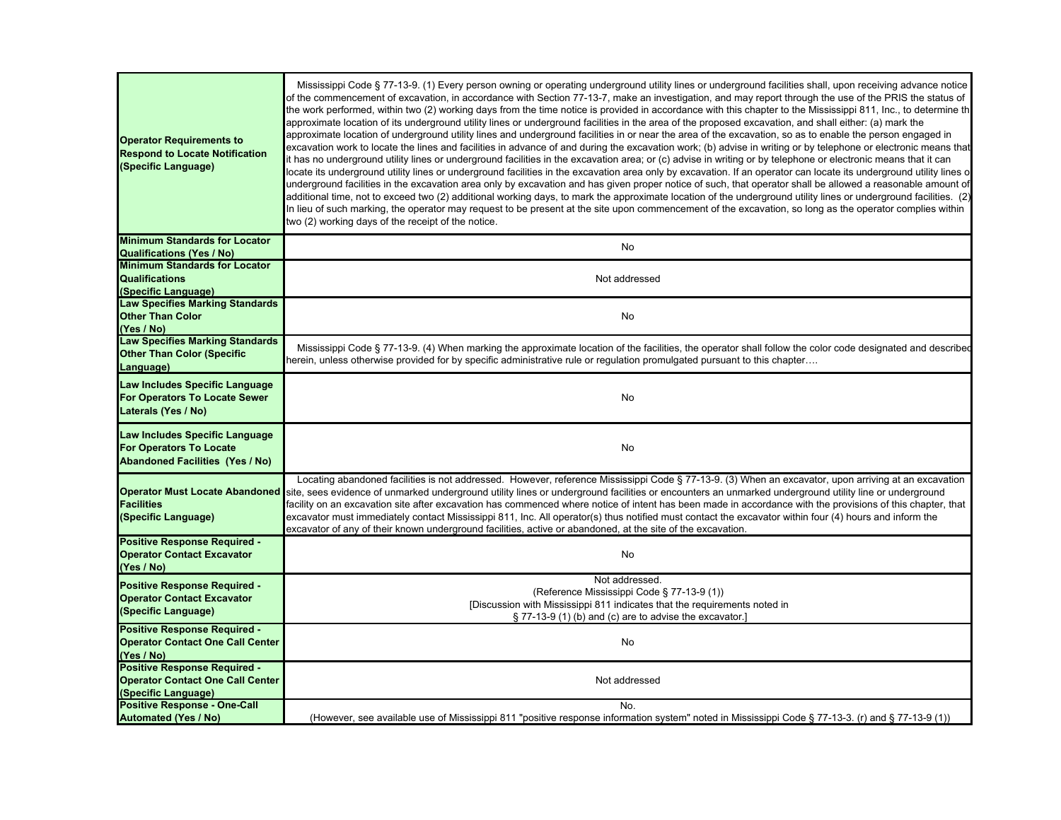| <b>Operator Requirements to</b><br><b>Respond to Locate Notification</b><br>(Specific Language)            | Mississippi Code § 77-13-9. (1) Every person owning or operating underground utility lines or underground facilities shall, upon receiving advance notice<br>of the commencement of excavation, in accordance with Section 77-13-7, make an investigation, and may report through the use of the PRIS the status of<br>the work performed, within two (2) working days from the time notice is provided in accordance with this chapter to the Mississippi 811, Inc., to determine th<br>approximate location of its underground utility lines or underground facilities in the area of the proposed excavation, and shall either: (a) mark the<br>approximate location of underground utility lines and underground facilities in or near the area of the excavation, so as to enable the person engaged in<br>excavation work to locate the lines and facilities in advance of and during the excavation work; (b) advise in writing or by telephone or electronic means that<br>t has no underground utility lines or underground facilities in the excavation area; or (c) advise in writing or by telephone or electronic means that it can<br>locate its underground utility lines or underground facilities in the excavation area only by excavation. If an operator can locate its underground utility lines o<br>underground facilities in the excavation area only by excavation and has given proper notice of such, that operator shall be allowed a reasonable amount of<br>additional time, not to exceed two (2) additional working days, to mark the approximate location of the underground utility lines or underground facilities. (2)<br>In lieu of such marking, the operator may request to be present at the site upon commencement of the excavation, so long as the operator complies within<br>two (2) working days of the receipt of the notice. |
|------------------------------------------------------------------------------------------------------------|------------------------------------------------------------------------------------------------------------------------------------------------------------------------------------------------------------------------------------------------------------------------------------------------------------------------------------------------------------------------------------------------------------------------------------------------------------------------------------------------------------------------------------------------------------------------------------------------------------------------------------------------------------------------------------------------------------------------------------------------------------------------------------------------------------------------------------------------------------------------------------------------------------------------------------------------------------------------------------------------------------------------------------------------------------------------------------------------------------------------------------------------------------------------------------------------------------------------------------------------------------------------------------------------------------------------------------------------------------------------------------------------------------------------------------------------------------------------------------------------------------------------------------------------------------------------------------------------------------------------------------------------------------------------------------------------------------------------------------------------------------------------------------------------------------------------------------------------------------------------------|
| <b>Minimum Standards for Locator</b><br><b>Qualifications (Yes / No)</b>                                   | No                                                                                                                                                                                                                                                                                                                                                                                                                                                                                                                                                                                                                                                                                                                                                                                                                                                                                                                                                                                                                                                                                                                                                                                                                                                                                                                                                                                                                                                                                                                                                                                                                                                                                                                                                                                                                                                                           |
| <b>Minimum Standards for Locator</b><br><b>Qualifications</b><br>(Specific Language)                       | Not addressed                                                                                                                                                                                                                                                                                                                                                                                                                                                                                                                                                                                                                                                                                                                                                                                                                                                                                                                                                                                                                                                                                                                                                                                                                                                                                                                                                                                                                                                                                                                                                                                                                                                                                                                                                                                                                                                                |
| <b>Law Specifies Marking Standards</b><br><b>Other Than Color</b><br>(Yes / No)                            | No                                                                                                                                                                                                                                                                                                                                                                                                                                                                                                                                                                                                                                                                                                                                                                                                                                                                                                                                                                                                                                                                                                                                                                                                                                                                                                                                                                                                                                                                                                                                                                                                                                                                                                                                                                                                                                                                           |
| <b>Law Specifies Marking Standards</b><br><b>Other Than Color (Specific</b><br>Language)                   | Mississippi Code § 77-13-9. (4) When marking the approximate location of the facilities, the operator shall follow the color code designated and described<br>ierein, unless otherwise provided for by specific administrative rule or regulation promulgated pursuant to this chapter                                                                                                                                                                                                                                                                                                                                                                                                                                                                                                                                                                                                                                                                                                                                                                                                                                                                                                                                                                                                                                                                                                                                                                                                                                                                                                                                                                                                                                                                                                                                                                                       |
| Law Includes Specific Language<br><b>For Operators To Locate Sewer</b><br>Laterals (Yes / No)              | No                                                                                                                                                                                                                                                                                                                                                                                                                                                                                                                                                                                                                                                                                                                                                                                                                                                                                                                                                                                                                                                                                                                                                                                                                                                                                                                                                                                                                                                                                                                                                                                                                                                                                                                                                                                                                                                                           |
| Law Includes Specific Language<br><b>For Operators To Locate</b><br><b>Abandoned Facilities (Yes / No)</b> | No                                                                                                                                                                                                                                                                                                                                                                                                                                                                                                                                                                                                                                                                                                                                                                                                                                                                                                                                                                                                                                                                                                                                                                                                                                                                                                                                                                                                                                                                                                                                                                                                                                                                                                                                                                                                                                                                           |
| <b>Facilities</b><br>(Specific Language)                                                                   | Locating abandoned facilities is not addressed. However, reference Mississippi Code § 77-13-9. (3) When an excavator, upon arriving at an excavation<br>Operator Must Locate Abandoned site, sees evidence of unmarked underground utility lines or underground facilities or encounters an unmarked underground utility line or underground<br>facility on an excavation site after excavation has commenced where notice of intent has been made in accordance with the provisions of this chapter, that<br>excavator must immediately contact Mississippi 811, Inc. All operator(s) thus notified must contact the excavator within four (4) hours and inform the<br>excavator of any of their known underground facilities, active or abandoned, at the site of the excavation.                                                                                                                                                                                                                                                                                                                                                                                                                                                                                                                                                                                                                                                                                                                                                                                                                                                                                                                                                                                                                                                                                          |
| Positive Response Required -<br><b>Operator Contact Excavator</b><br>(Yes / No)                            | No                                                                                                                                                                                                                                                                                                                                                                                                                                                                                                                                                                                                                                                                                                                                                                                                                                                                                                                                                                                                                                                                                                                                                                                                                                                                                                                                                                                                                                                                                                                                                                                                                                                                                                                                                                                                                                                                           |
| Positive Response Required -<br><b>Operator Contact Excavator</b><br>(Specific Language)                   | Not addressed.<br>(Reference Mississippi Code § 77-13-9 (1))<br>[Discussion with Mississippi 811 indicates that the requirements noted in<br>§ 77-13-9 (1) (b) and (c) are to advise the excavator.]                                                                                                                                                                                                                                                                                                                                                                                                                                                                                                                                                                                                                                                                                                                                                                                                                                                                                                                                                                                                                                                                                                                                                                                                                                                                                                                                                                                                                                                                                                                                                                                                                                                                         |
| Positive Response Required -<br><b>Operator Contact One Call Center</b><br>(Yes / No)                      | No                                                                                                                                                                                                                                                                                                                                                                                                                                                                                                                                                                                                                                                                                                                                                                                                                                                                                                                                                                                                                                                                                                                                                                                                                                                                                                                                                                                                                                                                                                                                                                                                                                                                                                                                                                                                                                                                           |
| <b>Positive Response Required -</b><br><b>Operator Contact One Call Center</b><br>(Specific Language)      | Not addressed                                                                                                                                                                                                                                                                                                                                                                                                                                                                                                                                                                                                                                                                                                                                                                                                                                                                                                                                                                                                                                                                                                                                                                                                                                                                                                                                                                                                                                                                                                                                                                                                                                                                                                                                                                                                                                                                |
| <b>Positive Response - One-Call</b><br><b>Automated (Yes / No)</b>                                         | No.<br>(However, see available use of Mississippi 811 "positive response information system" noted in Mississippi Code § 77-13-3. (r) and § 77-13-9 (1))                                                                                                                                                                                                                                                                                                                                                                                                                                                                                                                                                                                                                                                                                                                                                                                                                                                                                                                                                                                                                                                                                                                                                                                                                                                                                                                                                                                                                                                                                                                                                                                                                                                                                                                     |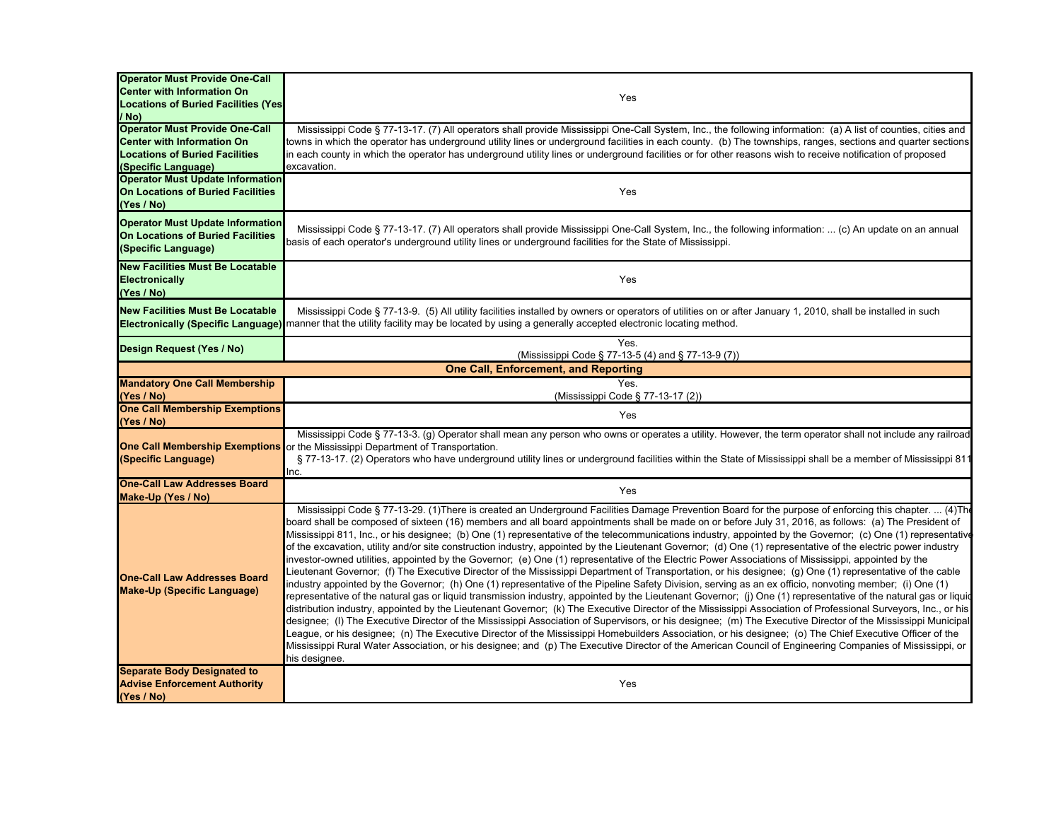| <b>Operator Must Provide One-Call</b><br><b>Center with Information On</b><br><b>Locations of Buried Facilities (Yes)</b><br>/ No)         | Yes                                                                                                                                                                                                                                                                                                                                                                                                                                                                                                                                                                                                                                                                                                                                                                                                                                                                                                                                                                                                                                                                                                                                                                                                                                                                                                                                                                                                                                                                                                                                                                                                                                                                                                                                                                                                                                                                                                                                                                          |
|--------------------------------------------------------------------------------------------------------------------------------------------|------------------------------------------------------------------------------------------------------------------------------------------------------------------------------------------------------------------------------------------------------------------------------------------------------------------------------------------------------------------------------------------------------------------------------------------------------------------------------------------------------------------------------------------------------------------------------------------------------------------------------------------------------------------------------------------------------------------------------------------------------------------------------------------------------------------------------------------------------------------------------------------------------------------------------------------------------------------------------------------------------------------------------------------------------------------------------------------------------------------------------------------------------------------------------------------------------------------------------------------------------------------------------------------------------------------------------------------------------------------------------------------------------------------------------------------------------------------------------------------------------------------------------------------------------------------------------------------------------------------------------------------------------------------------------------------------------------------------------------------------------------------------------------------------------------------------------------------------------------------------------------------------------------------------------------------------------------------------------|
| <b>Operator Must Provide One-Call</b><br><b>Center with Information On</b><br><b>Locations of Buried Facilities</b><br>(Specific Language) | Mississippi Code § 77-13-17. (7) All operators shall provide Mississippi One-Call System, Inc., the following information: (a) A list of counties, cities and<br>towns in which the operator has underground utility lines or underground facilities in each county. (b) The townships, ranges, sections and quarter sections<br>in each county in which the operator has underground utility lines or underground facilities or for other reasons wish to receive notification of proposed<br>excavation.                                                                                                                                                                                                                                                                                                                                                                                                                                                                                                                                                                                                                                                                                                                                                                                                                                                                                                                                                                                                                                                                                                                                                                                                                                                                                                                                                                                                                                                                   |
| <b>Operator Must Update Information</b><br>On Locations of Buried Facilities<br>(Yes / No)                                                 | Yes                                                                                                                                                                                                                                                                                                                                                                                                                                                                                                                                                                                                                                                                                                                                                                                                                                                                                                                                                                                                                                                                                                                                                                                                                                                                                                                                                                                                                                                                                                                                                                                                                                                                                                                                                                                                                                                                                                                                                                          |
| <b>Operator Must Update Information</b><br><b>On Locations of Buried Facilities</b><br>(Specific Language)                                 | Mississippi Code § 77-13-17. (7) All operators shall provide Mississippi One-Call System, Inc., the following information:  (c) An update on an annual<br>basis of each operator's underground utility lines or underground facilities for the State of Mississippi.                                                                                                                                                                                                                                                                                                                                                                                                                                                                                                                                                                                                                                                                                                                                                                                                                                                                                                                                                                                                                                                                                                                                                                                                                                                                                                                                                                                                                                                                                                                                                                                                                                                                                                         |
| <b>New Facilities Must Be Locatable</b><br><b>Electronically</b><br>(Yes / No)                                                             | Yes                                                                                                                                                                                                                                                                                                                                                                                                                                                                                                                                                                                                                                                                                                                                                                                                                                                                                                                                                                                                                                                                                                                                                                                                                                                                                                                                                                                                                                                                                                                                                                                                                                                                                                                                                                                                                                                                                                                                                                          |
| <b>New Facilities Must Be Locatable</b>                                                                                                    | Mississippi Code § 77-13-9. (5) All utility facilities installed by owners or operators of utilities on or after January 1, 2010, shall be installed in such<br>Electronically (Specific Language) manner that the utility facility may be located by using a generally accepted electronic locating method.                                                                                                                                                                                                                                                                                                                                                                                                                                                                                                                                                                                                                                                                                                                                                                                                                                                                                                                                                                                                                                                                                                                                                                                                                                                                                                                                                                                                                                                                                                                                                                                                                                                                 |
| Design Request (Yes / No)                                                                                                                  | Yes.<br>(Mississippi Code § 77-13-5 (4) and § 77-13-9 (7))                                                                                                                                                                                                                                                                                                                                                                                                                                                                                                                                                                                                                                                                                                                                                                                                                                                                                                                                                                                                                                                                                                                                                                                                                                                                                                                                                                                                                                                                                                                                                                                                                                                                                                                                                                                                                                                                                                                   |
|                                                                                                                                            | <b>One Call, Enforcement, and Reporting</b>                                                                                                                                                                                                                                                                                                                                                                                                                                                                                                                                                                                                                                                                                                                                                                                                                                                                                                                                                                                                                                                                                                                                                                                                                                                                                                                                                                                                                                                                                                                                                                                                                                                                                                                                                                                                                                                                                                                                  |
| <b>Mandatory One Call Membership</b><br>(Yes / No)                                                                                         | Yes.<br>(Mississippi Code § 77-13-17 (2))                                                                                                                                                                                                                                                                                                                                                                                                                                                                                                                                                                                                                                                                                                                                                                                                                                                                                                                                                                                                                                                                                                                                                                                                                                                                                                                                                                                                                                                                                                                                                                                                                                                                                                                                                                                                                                                                                                                                    |
| <b>One Call Membership Exemptions</b><br>(Yes / No)                                                                                        | Yes                                                                                                                                                                                                                                                                                                                                                                                                                                                                                                                                                                                                                                                                                                                                                                                                                                                                                                                                                                                                                                                                                                                                                                                                                                                                                                                                                                                                                                                                                                                                                                                                                                                                                                                                                                                                                                                                                                                                                                          |
| (Specific Language)                                                                                                                        | Mississippi Code § 77-13-3. (g) Operator shall mean any person who owns or operates a utility. However, the term operator shall not include any railroad<br><b>One Call Membership Exemptions</b> or the Mississippi Department of Transportation.<br>§ 77-13-17. (2) Operators who have underground utility lines or underground facilities within the State of Mississippi shall be a member of Mississippi 811<br>Inc.                                                                                                                                                                                                                                                                                                                                                                                                                                                                                                                                                                                                                                                                                                                                                                                                                                                                                                                                                                                                                                                                                                                                                                                                                                                                                                                                                                                                                                                                                                                                                    |
| <b>One-Call Law Addresses Board</b><br>Make-Up (Yes / No)                                                                                  | Yes                                                                                                                                                                                                                                                                                                                                                                                                                                                                                                                                                                                                                                                                                                                                                                                                                                                                                                                                                                                                                                                                                                                                                                                                                                                                                                                                                                                                                                                                                                                                                                                                                                                                                                                                                                                                                                                                                                                                                                          |
| <b>One-Call Law Addresses Board</b><br><b>Make-Up (Specific Language)</b>                                                                  | Mississippi Code § 77-13-29. (1)There is created an Underground Facilities Damage Prevention Board for the purpose of enforcing this chapter.  (4)Th<br>board shall be composed of sixteen (16) members and all board appointments shall be made on or before July 31, 2016, as follows: (a) The President of<br>Mississippi 811, Inc., or his designee; (b) One (1) representative of the telecommunications industry, appointed by the Governor; (c) One (1) representative<br>of the excavation, utility and/or site construction industry, appointed by the Lieutenant Governor; (d) One (1) representative of the electric power industry<br>investor-owned utilities, appointed by the Governor; (e) One (1) representative of the Electric Power Associations of Mississippi, appointed by the<br>Lieutenant Governor; (f) The Executive Director of the Mississippi Department of Transportation, or his designee; (g) One (1) representative of the cable<br>industry appointed by the Governor; (h) One (1) representative of the Pipeline Safety Division, serving as an ex officio, nonvoting member; (i) One (1)<br>representative of the natural gas or liquid transmission industry, appointed by the Lieutenant Governor; (j) One (1) representative of the natural gas or liquid<br>distribution industry, appointed by the Lieutenant Governor; (k) The Executive Director of the Mississippi Association of Professional Surveyors, Inc., or his<br>designee; (I) The Executive Director of the Mississippi Association of Supervisors, or his designee; (m) The Executive Director of the Mississippi Municipal<br>League, or his designee; (n) The Executive Director of the Mississippi Homebuilders Association, or his designee; (o) The Chief Executive Officer of the<br>Mississippi Rural Water Association, or his designee; and (p) The Executive Director of the American Council of Engineering Companies of Mississippi, or<br>his designee. |
| <b>Separate Body Designated to</b><br><b>Advise Enforcement Authority</b><br>(Yes / No)                                                    | Yes                                                                                                                                                                                                                                                                                                                                                                                                                                                                                                                                                                                                                                                                                                                                                                                                                                                                                                                                                                                                                                                                                                                                                                                                                                                                                                                                                                                                                                                                                                                                                                                                                                                                                                                                                                                                                                                                                                                                                                          |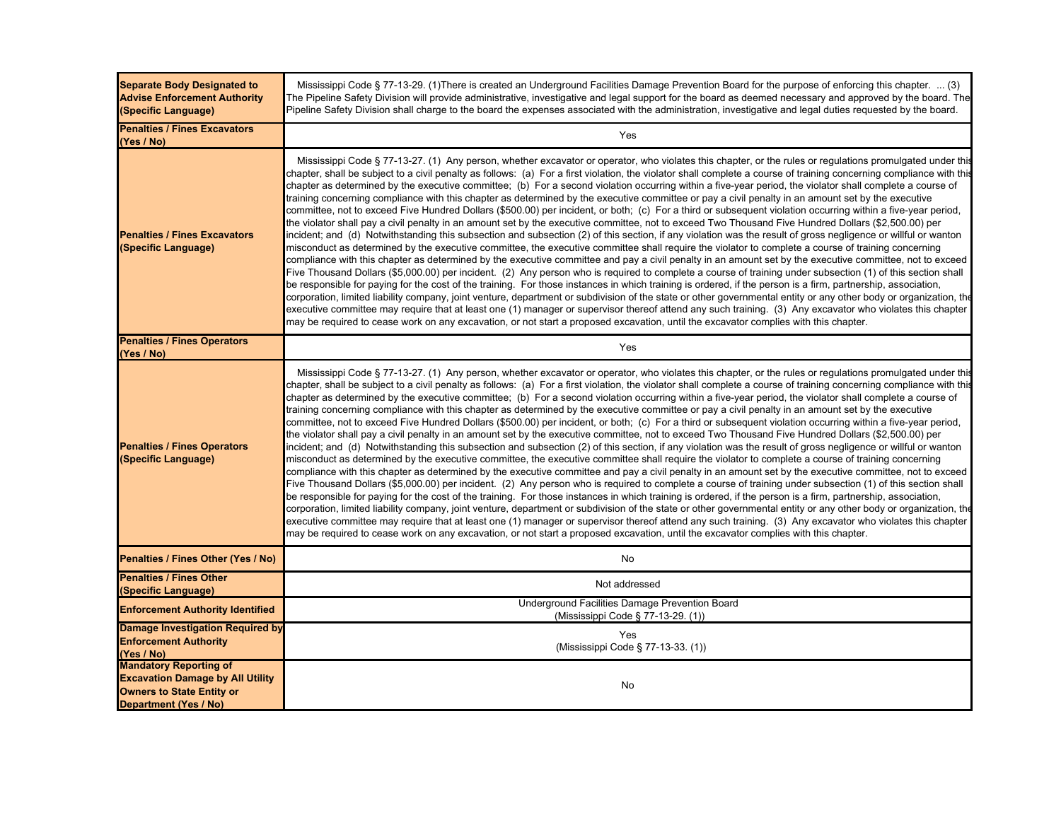| <b>Separate Body Designated to</b><br><b>Advise Enforcement Authority</b><br>(Specific Language)                                             | Mississippi Code § 77-13-29. (1)There is created an Underground Facilities Damage Prevention Board for the purpose of enforcing this chapter.  (3)<br>The Pipeline Safety Division will provide administrative, investigative and legal support for the board as deemed necessary and approved by the board. The<br>Pipeline Safety Division shall charge to the board the expenses associated with the administration, investigative and legal duties requested by the board.                                                                                                                                                                                                                                                                                                                                                                                                                                                                                                                                                                                                                                                                                                                                                                                                                                                                                                                                                                                                                                                                                                                                                                                                                                                                                                                                                                                                                                                                                                                                                                                                                                                                                                                                                                                            |
|----------------------------------------------------------------------------------------------------------------------------------------------|---------------------------------------------------------------------------------------------------------------------------------------------------------------------------------------------------------------------------------------------------------------------------------------------------------------------------------------------------------------------------------------------------------------------------------------------------------------------------------------------------------------------------------------------------------------------------------------------------------------------------------------------------------------------------------------------------------------------------------------------------------------------------------------------------------------------------------------------------------------------------------------------------------------------------------------------------------------------------------------------------------------------------------------------------------------------------------------------------------------------------------------------------------------------------------------------------------------------------------------------------------------------------------------------------------------------------------------------------------------------------------------------------------------------------------------------------------------------------------------------------------------------------------------------------------------------------------------------------------------------------------------------------------------------------------------------------------------------------------------------------------------------------------------------------------------------------------------------------------------------------------------------------------------------------------------------------------------------------------------------------------------------------------------------------------------------------------------------------------------------------------------------------------------------------------------------------------------------------------------------------------------------------|
| <b>Penalties / Fines Excavators</b><br>(Yes / No)                                                                                            | Yes                                                                                                                                                                                                                                                                                                                                                                                                                                                                                                                                                                                                                                                                                                                                                                                                                                                                                                                                                                                                                                                                                                                                                                                                                                                                                                                                                                                                                                                                                                                                                                                                                                                                                                                                                                                                                                                                                                                                                                                                                                                                                                                                                                                                                                                                       |
| <b>Penalties / Fines Excavators</b><br>(Specific Language)                                                                                   | Mississippi Code § 77-13-27. (1) Any person, whether excavator or operator, who violates this chapter, or the rules or regulations promulgated under this<br>chapter, shall be subject to a civil penalty as follows: (a) For a first violation, the violator shall complete a course of training concerning compliance with this<br>chapter as determined by the executive committee; (b) For a second violation occurring within a five-year period, the violator shall complete a course of<br>training concerning compliance with this chapter as determined by the executive committee or pay a civil penalty in an amount set by the executive<br>committee, not to exceed Five Hundred Dollars (\$500.00) per incident, or both; (c) For a third or subsequent violation occurring within a five-year period,<br>the violator shall pay a civil penalty in an amount set by the executive committee, not to exceed Two Thousand Five Hundred Dollars (\$2,500.00) per<br>ncident; and (d) Notwithstanding this subsection and subsection (2) of this section, if any violation was the result of gross negligence or willful or wanton<br>nisconduct as determined by the executive committee, the executive committee shall require the violator to complete a course of training concerning<br>compliance with this chapter as determined by the executive committee and pay a civil penalty in an amount set by the executive committee, not to exceed<br>Five Thousand Dollars (\$5,000.00) per incident. (2)Any person who is required to complete a course of training under subsection (1) of this section shall<br>be responsible for paying for the cost of the training. For those instances in which training is ordered, if the person is a firm, partnership, association,<br>corporation, limited liability company, joint venture, department or subdivision of the state or other governmental entity or any other body or organization, the<br>executive committee may require that at least one (1) manager or supervisor thereof attend any such training. (3) Any excavator who violates this chapter<br>may be required to cease work on any excavation, or not start a proposed excavation, until the excavator complies with this chapter.  |
| <b>Penalties / Fines Operators</b><br>(Yes / No)                                                                                             | Yes                                                                                                                                                                                                                                                                                                                                                                                                                                                                                                                                                                                                                                                                                                                                                                                                                                                                                                                                                                                                                                                                                                                                                                                                                                                                                                                                                                                                                                                                                                                                                                                                                                                                                                                                                                                                                                                                                                                                                                                                                                                                                                                                                                                                                                                                       |
| <b>Penalties / Fines Operators</b><br>(Specific Language)                                                                                    | Mississippi Code § 77-13-27. (1) Any person, whether excavator or operator, who violates this chapter, or the rules or regulations promulgated under this<br>chapter, shall be subject to a civil penalty as follows: (a) For a first violation, the violator shall complete a course of training concerning compliance with this<br>chapter as determined by the executive committee; (b) For a second violation occurring within a five-year period, the violator shall complete a course of<br>raining concerning compliance with this chapter as determined by the executive committee or pay a civil penalty in an amount set by the executive<br>committee, not to exceed Five Hundred Dollars (\$500.00) per incident, or both; (c) For a third or subsequent violation occurring within a five-year period,<br>the violator shall pay a civil penalty in an amount set by the executive committee, not to exceed Two Thousand Five Hundred Dollars (\$2,500.00) per<br>incident; and (d) Notwithstanding this subsection and subsection (2) of this section, if any violation was the result of gross negligence or willful or wanton<br>misconduct as determined by the executive committee, the executive committee shall require the violator to complete a course of training concerning<br>compliance with this chapter as determined by the executive committee and pay a civil penalty in an amount set by the executive committee, not to exceed<br>Five Thousand Dollars (\$5,000.00) per incident. (2) Any person who is required to complete a course of training under subsection (1) of this section shall<br>be responsible for paying for the cost of the training. For those instances in which training is ordered, if the person is a firm, partnership, association,<br>corporation, limited liability company, joint venture, department or subdivision of the state or other governmental entity or any other body or organization, the<br>executive committee may require that at least one (1) manager or supervisor thereof attend any such training. (3) Any excavator who violates this chapter<br>may be required to cease work on any excavation, or not start a proposed excavation, until the excavator complies with this chapter. |
| Penalties / Fines Other (Yes / No)                                                                                                           | No                                                                                                                                                                                                                                                                                                                                                                                                                                                                                                                                                                                                                                                                                                                                                                                                                                                                                                                                                                                                                                                                                                                                                                                                                                                                                                                                                                                                                                                                                                                                                                                                                                                                                                                                                                                                                                                                                                                                                                                                                                                                                                                                                                                                                                                                        |
| <b>Penalties / Fines Other</b><br>(Specific Language)                                                                                        | Not addressed                                                                                                                                                                                                                                                                                                                                                                                                                                                                                                                                                                                                                                                                                                                                                                                                                                                                                                                                                                                                                                                                                                                                                                                                                                                                                                                                                                                                                                                                                                                                                                                                                                                                                                                                                                                                                                                                                                                                                                                                                                                                                                                                                                                                                                                             |
| <b>Enforcement Authority Identified</b>                                                                                                      | Underground Facilities Damage Prevention Board<br>(Mississippi Code § 77-13-29. (1))                                                                                                                                                                                                                                                                                                                                                                                                                                                                                                                                                                                                                                                                                                                                                                                                                                                                                                                                                                                                                                                                                                                                                                                                                                                                                                                                                                                                                                                                                                                                                                                                                                                                                                                                                                                                                                                                                                                                                                                                                                                                                                                                                                                      |
| <b>Damage Investigation Required by</b><br><b>Enforcement Authority</b><br>(Yes / No)                                                        | Yes<br>(Mississippi Code § 77-13-33. (1))                                                                                                                                                                                                                                                                                                                                                                                                                                                                                                                                                                                                                                                                                                                                                                                                                                                                                                                                                                                                                                                                                                                                                                                                                                                                                                                                                                                                                                                                                                                                                                                                                                                                                                                                                                                                                                                                                                                                                                                                                                                                                                                                                                                                                                 |
| <b>Mandatory Reporting of</b><br><b>Excavation Damage by All Utility</b><br><b>Owners to State Entity or</b><br><b>Department (Yes / No)</b> | No                                                                                                                                                                                                                                                                                                                                                                                                                                                                                                                                                                                                                                                                                                                                                                                                                                                                                                                                                                                                                                                                                                                                                                                                                                                                                                                                                                                                                                                                                                                                                                                                                                                                                                                                                                                                                                                                                                                                                                                                                                                                                                                                                                                                                                                                        |